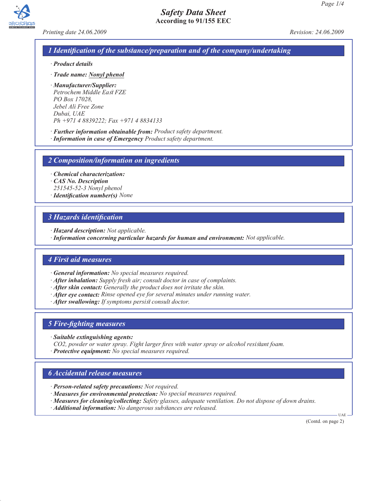



*Printing date 24.06.2009 Revision: 24.06.2009*

### *1 Identification of the substance/preparation and of the company/undertaking*

- *· Product details*
- *· Trade name: Nonyl phenol*
- *· Manufacturer/Supplier: Petrochem Middle East FZE PO Box 17028, Jebel Ali Free Zone Dubai, UAE Ph +971 4 8839222; Fax +971 4 8834133*
- *· Further information obtainable from: Product safety department.*
- *· Information in case of Emergency Product safety department.*

*2 Composition/information on ingredients*

*· Chemical characterization:*

- *· CAS No. Description*
- *251545-52-3 Nonyl phenol*
- *· Identification number(s) None*

#### *3 Hazards identification*

- *· Hazard description: Not applicable.*
- *· Information concerning particular hazards for human and environment: Not applicable.*

#### *4 First aid measures*

*· General information: No special measures required.*

- *· After inhalation: Supply fresh air; consult doctor in case of complaints.*
- *· After skin contact: Generally the product does not irritate the skin.*
- *· After eye contact: Rinse opened eye for several minutes under running water.*
- *· After swallowing: If symptoms persist consult doctor.*

#### *5 Fire-fighting measures*

- *· Suitable extinguishing agents:*
- *CO2, powder or water spray. Fight larger fires with water spray or alcohol resistant foam.*
- *· Protective equipment: No special measures required.*

#### *6 Accidental release measures*

- *· Person-related safety precautions: Not required.*
- *· Measures for environmental protection: No special measures required.*
- *· Measures for cleaning/collecting: Safety glasses, adequate ventilation. Do not dispose of down drains.*
- *· Additional information: No dangerous substances are released.*

(Contd. on page 2)

UAE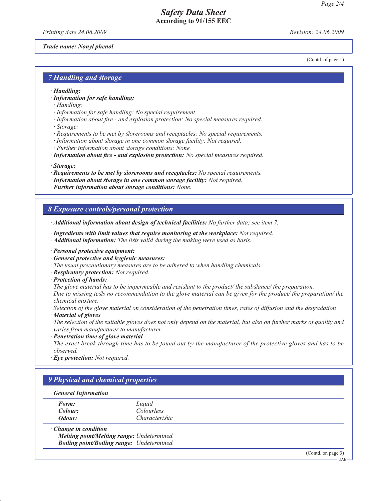## *Safety Data Sheet* **According to 91/155 EEC**

*Printing date 24.06.2009 Revision: 24.06.2009*

(Contd. of page 1)

#### *Trade name: Nonyl phenol*

*7 Handling and storage*

- *· Handling:*
- *· Information for safe handling:*
- *· Handling:*
- *· Information for safe handling: No special requirement*
- *· Information about fire and explosion protection: No special measures required. · Storage:*
- 
- *· Requirements to be met by storerooms and receptacles: No special requirements.*
- *· Information about storage in one common storage facility: Not required.*
- *· Further information about storage conditions: None.*
- *· Information about fire and explosion protection: No special measures required.*
- *· Storage:*
- *· Requirements to be met by storerooms and receptacles: No special requirements.*
- *· Information about storage in one common storage facility: Not required.*
- *· Further information about storage conditions: None.*

#### *8 Exposure controls/personal protection*

*· Additional information about design of technical facilities: No further data; see item 7.*

- *· Ingredients with limit values that require monitoring at the workplace: Not required.*
- *· Additional information: The lists valid during the making were used as basis.*
- *· Personal protective equipment:*
- *· General protective and hygienic measures:*
- *The usual precautionary measures are to be adhered to when handling chemicals.*
- *· Respiratory protection: Not required.*
- *· Protection of hands:*
- *The glove material has to be impermeable and resistant to the product/ the substance/ the preparation.*

*Due to missing tests no recommendation to the glove material can be given for the product/ the preparation/ the chemical mixture.*

*Selection of the glove material on consideration of the penetration times, rates of diffusion and the degradation*

*· Material of gloves*

*The selection of the suitable gloves does not only depend on the material, but also on further marks of quality and varies from manufacturer to manufacturer.*

*· Penetration time of glove material*

*The exact break through time has to be found out by the manufacturer of the protective gloves and has to be observed.*

*· Eye protection: Not required.*

| <b>General Information</b>  |                                                   |                    |  |
|-----------------------------|---------------------------------------------------|--------------------|--|
| Form:                       | Liquid                                            |                    |  |
| Colour:                     | <i>Colourless</i>                                 |                    |  |
| Odour:                      | <i>Characteristic</i>                             |                    |  |
| $\cdot$ Change in condition |                                                   |                    |  |
|                             | Melting point/Melting range: Undetermined.        |                    |  |
|                             | <b>Boiling point/Boiling range:</b> Undetermined. |                    |  |
|                             |                                                   | (Contd. on page 3) |  |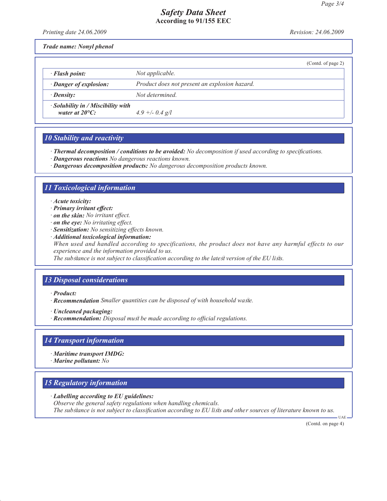### *Safety Data Sheet* **According to 91/155 EEC**

*Printing date 24.06.2009 Revision: 24.06.2009*

*Trade name: Nonyl phenol*

|                                                                      |                                               | (Contd. of page 2) |
|----------------------------------------------------------------------|-----------------------------------------------|--------------------|
| $\cdot$ Flash point:                                                 | Not applicable.                               |                    |
| · Danger of explosion:                                               | Product does not present an explosion hazard. |                    |
| · Density:                                                           | Not determined                                |                    |
| $\cdot$ Solubility in / Miscibility with<br>water at $20^{\circ}$ C: |                                               |                    |
|                                                                      | $4.9 + - 0.4$ g/l                             |                    |

# *10 Stability and reactivity*

*· Thermal decomposition / conditions to be avoided: No decomposition if used according to specifications.*

- *· Dangerous reactions No dangerous reactions known.*
- *· Dangerous decomposition products: No dangerous decomposition products known.*

## *11 Toxicological information*

- *· Acute toxicity:*
- *· Primary irritant effect:*
- *· on the skin: No irritant effect.*
- *· on the eye: No irritating effect.*
- *· Sensitization: No sensitizing effects known.*
- *· Additional toxicological information:*

*When used and handled according to specifications, the product does not have any harmful effects to our experience and the information provided to us.*

*The substance is not subject to classification according to the latest version of the EU lists.*

### *13 Disposal considerations*

*· Product:*

- *· Recommendation Smaller quantities can be disposed of with household waste.*
- *· Uncleaned packaging:*
- *· Recommendation: Disposal must be made according to official regulations.*

#### *14 Transport information*

- *· Maritime transport IMDG:*
- *· Marine pollutant: No*

# *15 Regulatory information*

- *· Labelling according to EU guidelines:*
- *Observe the general safety regulations when handling chemicals. The substance is not subject to classification according to EU lists and other sources of literature known to us.*

(Contd. on page 4)

UAE